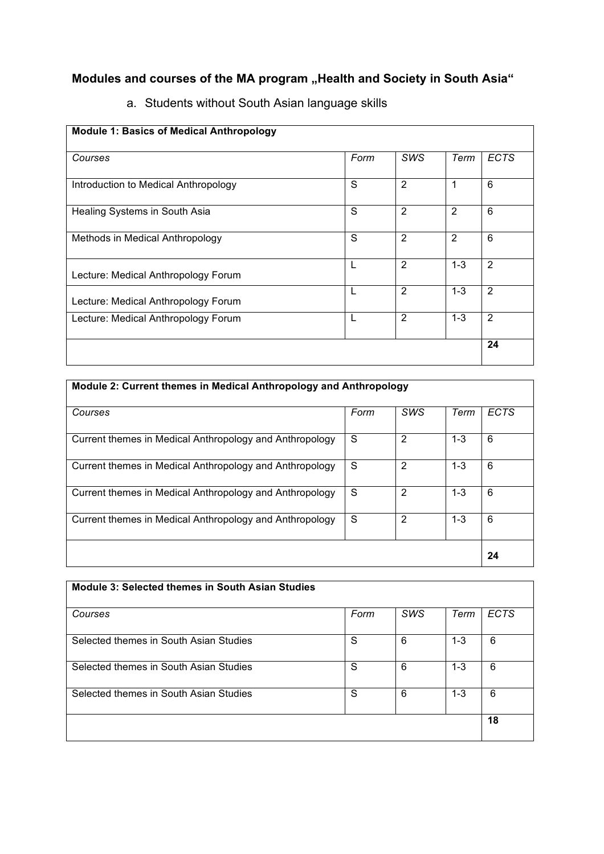## **Modules and courses of the MA program "Health and Society in South Asia"**

| <b>Module 1: Basics of Medical Anthropology</b> |      |                |         |                |
|-------------------------------------------------|------|----------------|---------|----------------|
| Courses                                         | Form | <b>SWS</b>     | Term    | <b>ECTS</b>    |
| Introduction to Medical Anthropology            | S    | $\overline{2}$ | 1       | 6              |
| Healing Systems in South Asia                   | S    | $\overline{2}$ | 2       | 6              |
| Methods in Medical Anthropology                 | S    | $\overline{2}$ | 2       | 6              |
| Lecture: Medical Anthropology Forum             | L    | 2              | $1 - 3$ | $\overline{2}$ |
| Lecture: Medical Anthropology Forum             | L    | 2              | $1 - 3$ | $\overline{2}$ |
| Lecture: Medical Anthropology Forum             | L    | 2              | $1 - 3$ | $\overline{2}$ |
|                                                 |      |                |         | 24             |

## a. Students without South Asian language skills

| Module 2: Current themes in Medical Anthropology and Anthropology |      |            |         |             |  |  |
|-------------------------------------------------------------------|------|------------|---------|-------------|--|--|
| Courses                                                           | Form | <b>SWS</b> | Term    | <b>ECTS</b> |  |  |
| Current themes in Medical Anthropology and Anthropology           | S    | 2          | $1 - 3$ | 6           |  |  |
| Current themes in Medical Anthropology and Anthropology           | S    | 2          | $1 - 3$ | 6           |  |  |
| Current themes in Medical Anthropology and Anthropology           | S    | 2          | $1 - 3$ | 6           |  |  |
| Current themes in Medical Anthropology and Anthropology           | S    | 2          | $1 - 3$ | 6           |  |  |
|                                                                   |      |            |         | 24          |  |  |

| Module 3: Selected themes in South Asian Studies |      |            |         |      |
|--------------------------------------------------|------|------------|---------|------|
| Courses                                          | Form | <b>SWS</b> | Term    | ECTS |
| Selected themes in South Asian Studies           | S    | 6          | $1 - 3$ | 6    |
| Selected themes in South Asian Studies           | S    | 6          | $1 - 3$ | 6    |
| Selected themes in South Asian Studies           | S    | 6          | $1 - 3$ | 6    |
|                                                  |      |            |         | 18   |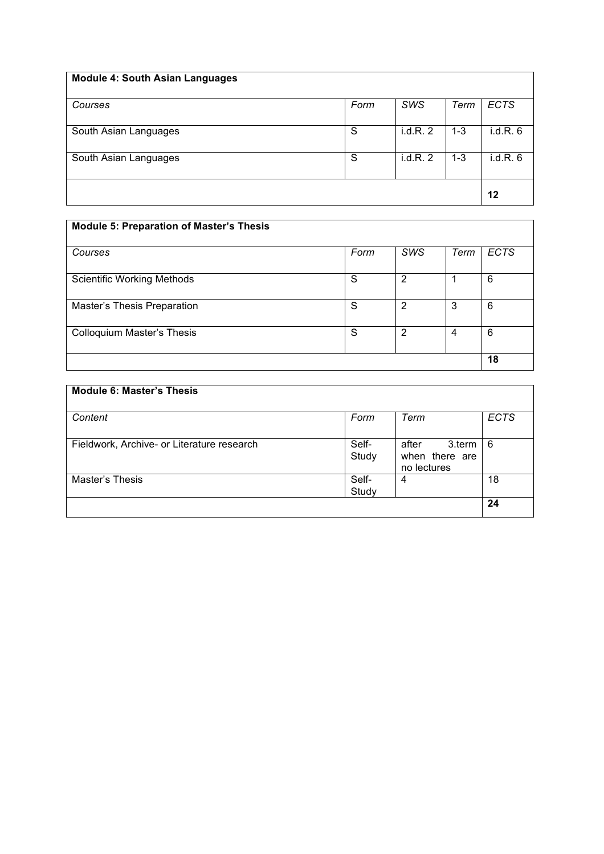| <b>Module 4: South Asian Languages</b> |      |         |         |             |
|----------------------------------------|------|---------|---------|-------------|
| Courses                                | Form | SWS     | Term    | <b>ECTS</b> |
| South Asian Languages                  | S    | i.d.R.2 | $1 - 3$ | i.d.R.6     |
| South Asian Languages                  | S    | i.d.R.2 | $1 - 3$ | i.d.R.6     |
|                                        |      |         |         | 12          |

| <b>Module 5: Preparation of Master's Thesis</b> |      |                |                |             |
|-------------------------------------------------|------|----------------|----------------|-------------|
| Courses                                         | Form | SWS            | Term           | <b>ECTS</b> |
| <b>Scientific Working Methods</b>               | S    | $\overline{2}$ |                | 6           |
| Master's Thesis Preparation                     | S    | $\overline{2}$ | 3              | 6           |
| <b>Colloquium Master's Thesis</b>               | S    | $\overline{2}$ | $\overline{4}$ | 6           |
|                                                 |      |                |                | 18          |

| <b>Module 6: Master's Thesis</b>           |                |                                                  |             |
|--------------------------------------------|----------------|--------------------------------------------------|-------------|
| Content                                    | Form           | Term                                             | <b>ECTS</b> |
| Fieldwork, Archive- or Literature research | Self-<br>Study | 3.term<br>after<br>when there are<br>no lectures | 6           |
| Master's Thesis                            | Self-<br>Study | 4                                                | 18          |
|                                            |                |                                                  | 24          |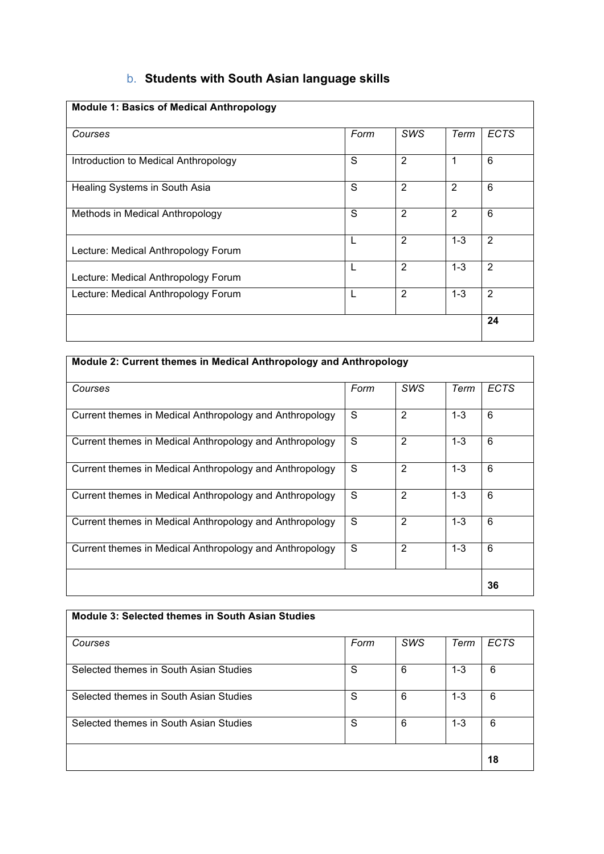## b. **Students with South Asian language skills**

| <b>Module 1: Basics of Medical Anthropology</b> |      |                |         |                |
|-------------------------------------------------|------|----------------|---------|----------------|
| Courses                                         | Form | <b>SWS</b>     | Term    | ECTS           |
| Introduction to Medical Anthropology            | S    | 2              | 1       | 6              |
| Healing Systems in South Asia                   | S    | 2              | 2       | 6              |
| Methods in Medical Anthropology                 | S    | $\overline{2}$ | 2       | 6              |
| Lecture: Medical Anthropology Forum             |      | 2              | $1 - 3$ | $\overline{2}$ |
| Lecture: Medical Anthropology Forum             |      | 2              | $1 - 3$ | $\overline{2}$ |
| Lecture: Medical Anthropology Forum             |      | $\overline{2}$ | $1 - 3$ | $\overline{2}$ |
|                                                 |      |                |         | 24             |

| Module 2: Current themes in Medical Anthropology and Anthropology |      |                |         |             |
|-------------------------------------------------------------------|------|----------------|---------|-------------|
| Courses                                                           | Form | <b>SWS</b>     | Term    | <b>ECTS</b> |
| Current themes in Medical Anthropology and Anthropology           | S    | 2              | $1 - 3$ | 6           |
| Current themes in Medical Anthropology and Anthropology           | S    | $\overline{2}$ | $1 - 3$ | 6           |
| Current themes in Medical Anthropology and Anthropology           | S    | 2              | $1 - 3$ | 6           |
| Current themes in Medical Anthropology and Anthropology           | S    | 2              | $1 - 3$ | 6           |
| Current themes in Medical Anthropology and Anthropology           | S    | 2              | $1 - 3$ | 6           |
| Current themes in Medical Anthropology and Anthropology           | S    | 2              | $1 - 3$ | 6           |
|                                                                   |      |                |         | 36          |

| Module 3: Selected themes in South Asian Studies |      |            |         |             |
|--------------------------------------------------|------|------------|---------|-------------|
| Courses                                          | Form | <b>SWS</b> | Term    | <b>ECTS</b> |
| Selected themes in South Asian Studies           | S    | 6          | $1 - 3$ | 6           |
| Selected themes in South Asian Studies           | S    | 6          | $1 - 3$ | 6           |
| Selected themes in South Asian Studies           | S    | 6          | $1 - 3$ | 6           |
|                                                  |      |            |         | 18          |